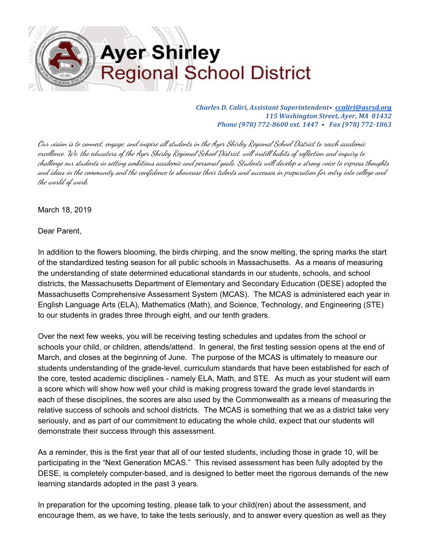

*Charles D. Caliri, Assistant Superintendent• [ccaliri@asrsd.org](mailto:ccaliri@asrsd.org) 115 Washington Street, Ayer, MA 01432 Phone (978) 772-8600 ext. 1447 • Fax (978) 772-1863*

Our vision is to connect, engage, and inspire al students in the Ayer Shirley Regional School District to reach academic excellence. We, the educators of the Ayer Shirley Regional School District, will instill habits of reflection and inquiry to chal enge our students in setting ambitious academic and personal goals. Students wil develop <sup>a</sup> strong voice to express thoughts and ideas in the community and the confidence to showcase their talents and successes in preparation for entry into college and the world of work.

March 18, 2019

Dear Parent,

In addition to the flowers blooming, the birds chirping, and the snow melting, the spring marks the start of the standardized testing season for all public schools in Massachusetts. As a means of measuring the understanding of state determined educational standards in our students, schools, and school districts, the Massachusetts Department of Elementary and Secondary Education (DESE) adopted the Massachusetts Comprehensive Assessment System (MCAS). The MCAS is administered each year in English Language Arts (ELA), Mathematics (Math), and Science, Technology, and Engineering (STE) to our students in grades three through eight, and our tenth graders.

Over the next few weeks, you will be receiving testing schedules and updates from the school or schools your child, or children, attends/attend. In general, the first testing session opens at the end of March, and closes at the beginning of June. The purpose of the MCAS is ultimately to measure our students understanding of the grade-level, curriculum standards that have been established for each of the core, tested academic disciplines - namely ELA, Math, and STE. As much as your student will earn a score which will show how well your child is making progress toward the grade level standards in each of these disciplines, the scores are also used by the Commonwealth as a means of measuring the relative success of schools and school districts. The MCAS is something that we as a district take very seriously, and as part of our commitment to educating the whole child, expect that our students will demonstrate their success through this assessment.

As a reminder, this is the first year that all of our tested students, including those in grade 10, will be participating in the "Next Generation MCAS." This revised assessment has been fully adopted by the DESE, is completely computer-based, and is designed to better meet the rigorous demands of the new learning standards adopted in the past 3 years.

In preparation for the upcoming testing, please talk to your child(ren) about the assessment, and encourage them, as we have, to take the tests seriously, and to answer every question as well as they